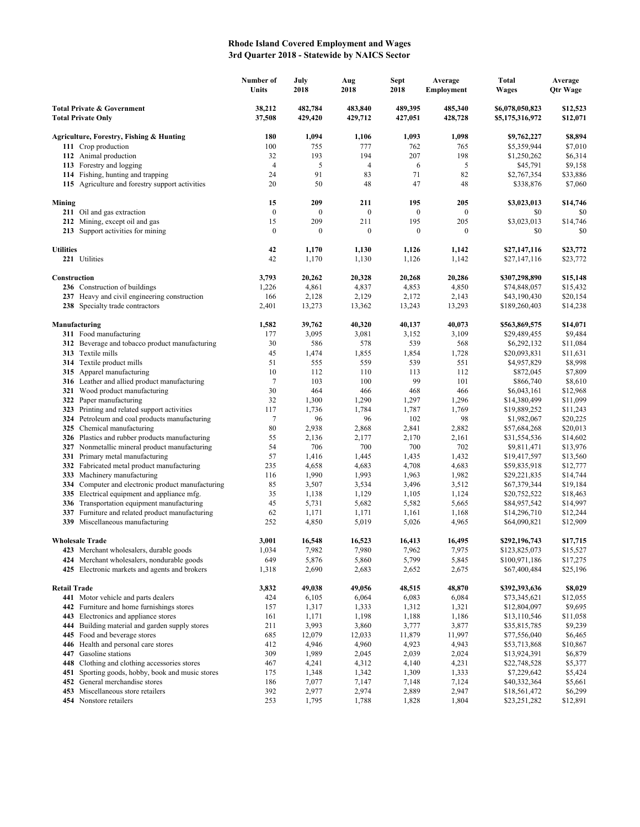## **Rhode Island Covered Employment and Wages 3rd Quarter 2018 - Statewide by NAICS Sector**

|                                                                    |                                                                                             | Number of<br>Units | July<br>2018       | Aug<br>2018        | <b>Sept</b><br>2018 | Average<br>Employment | <b>Total</b><br>Wages              | Average<br><b>Qtr Wage</b> |
|--------------------------------------------------------------------|---------------------------------------------------------------------------------------------|--------------------|--------------------|--------------------|---------------------|-----------------------|------------------------------------|----------------------------|
| <b>Total Private &amp; Government</b><br><b>Total Private Only</b> |                                                                                             | 38,212<br>37,508   | 482,784<br>429,420 | 483,840<br>429,712 | 489,395<br>427,051  | 485,340<br>428,728    | \$6,078,050,823<br>\$5,175,316,972 | \$12,523<br>\$12,071       |
|                                                                    | Agriculture, Forestry, Fishing & Hunting                                                    | 180                | 1,094              | 1,106              | 1,093               | 1,098                 | \$9,762,227                        | \$8,894                    |
|                                                                    | 111 Crop production                                                                         | 100                | 755                | 777                | 762                 | 765                   | \$5,359,944                        | \$7,010                    |
|                                                                    | 112 Animal production                                                                       | 32                 | 193                | 194                | 207                 | 198                   | \$1,250,262                        | \$6,314                    |
|                                                                    | 113 Forestry and logging                                                                    | $\overline{4}$     | 5                  | $\overline{4}$     | 6                   | 5                     | \$45,791                           | \$9,158                    |
|                                                                    | 114 Fishing, hunting and trapping                                                           | 24                 | 91                 | 83                 | 71                  | 82                    | \$2,767,354                        | \$33,886                   |
|                                                                    | 115 Agriculture and forestry support activities                                             | 20                 | 50                 | 48                 | 47                  | 48                    | \$338,876                          | \$7,060                    |
| Mining                                                             |                                                                                             | 15                 | 209                | 211                | 195                 | 205                   | \$3,023,013                        | \$14,746                   |
|                                                                    | 211 Oil and gas extraction                                                                  | $\boldsymbol{0}$   | $\boldsymbol{0}$   | $\boldsymbol{0}$   | $\boldsymbol{0}$    | $\mathbf{0}$          | \$0                                | \$0                        |
|                                                                    | 212 Mining, except oil and gas                                                              | 15                 | 209                | 211                | 195                 | 205                   | \$3,023,013                        | \$14,746                   |
|                                                                    | 213 Support activities for mining                                                           | $\boldsymbol{0}$   | $\boldsymbol{0}$   | $\mathbf{0}$       | $\boldsymbol{0}$    | $\mathbf{0}$          | \$0                                | \$0                        |
| <b>Utilities</b>                                                   |                                                                                             | 42                 | 1,170              | 1,130              | 1,126               | 1,142                 | \$27,147,116                       | \$23,772                   |
|                                                                    | 221 Utilities                                                                               | 42                 | 1,170              | 1,130              | 1,126               | 1,142                 | \$27,147,116                       | \$23,772                   |
| Construction                                                       |                                                                                             | 3,793              | 20,262             | 20,328             | 20,268              | 20,286                | \$307,298,890                      | \$15,148                   |
|                                                                    | 236 Construction of buildings                                                               | 1,226              | 4,861              | 4,837              | 4,853               | 4,850                 | \$74,848,057                       | \$15,432                   |
|                                                                    | 237 Heavy and civil engineering construction                                                | 166                | 2,128              | 2,129              | 2,172               | 2,143                 | \$43,190,430                       | \$20,154                   |
|                                                                    | 238 Specialty trade contractors                                                             | 2,401              | 13,273             | 13,362             | 13,243              | 13,293                | \$189,260,403                      | \$14,238                   |
|                                                                    | Manufacturing                                                                               | 1,582              | 39,762             | 40,320             | 40,137              | 40,073                | \$563,869,575                      | \$14,071                   |
|                                                                    | 311 Food manufacturing                                                                      | 177                | 3,095              | 3,081              | 3,152               | 3,109                 | \$29,489,455                       | \$9,484                    |
|                                                                    | 312 Beverage and tobacco product manufacturing                                              | 30                 | 586                | 578                | 539                 | 568                   | \$6,292,132                        | \$11,084                   |
|                                                                    | 313 Textile mills                                                                           | 45                 | 1,474              | 1,855              | 1,854               | 1,728                 | \$20,093,831                       | \$11,631                   |
|                                                                    | 314 Textile product mills                                                                   | 51                 | 555                | 559                | 539                 | 551                   | \$4,957,829                        | \$8,998                    |
|                                                                    | 315 Apparel manufacturing                                                                   | 10                 | 112                | 110                | 113                 | 112                   | \$872,045                          | \$7,809                    |
|                                                                    | 316 Leather and allied product manufacturing                                                | 7                  | 103<br>464         | 100                | 99                  | 101                   | \$866,740                          | \$8,610                    |
|                                                                    | 321 Wood product manufacturing<br>322 Paper manufacturing                                   | 30<br>32           | 1,300              | 466<br>1,290       | 468<br>1,297        | 466<br>1,296          | \$6,043,161<br>\$14,380,499        | \$12,968<br>\$11,099       |
|                                                                    | 323 Printing and related support activities                                                 | 117                | 1,736              | 1,784              | 1,787               | 1,769                 | \$19,889,252                       | \$11,243                   |
|                                                                    | 324 Petroleum and coal products manufacturing                                               | 7                  | 96                 | 96                 | 102                 | 98                    | \$1,982,067                        | \$20,225                   |
|                                                                    | 325 Chemical manufacturing                                                                  | 80                 | 2,938              | 2,868              | 2,841               | 2,882                 | \$57,684,268                       | \$20,013                   |
|                                                                    | 326 Plastics and rubber products manufacturing                                              | 55                 | 2,136              | 2,177              | 2,170               | 2,161                 | \$31,554,536                       | \$14,602                   |
|                                                                    | 327 Nonmetallic mineral product manufacturing                                               | 54                 | 706                | 700                | 700                 | 702                   | \$9,811,471                        | \$13,976                   |
|                                                                    | 331 Primary metal manufacturing                                                             | 57                 | 1,416              | 1,445              | 1,435               | 1,432                 | \$19,417,597                       | \$13,560                   |
|                                                                    | 332 Fabricated metal product manufacturing                                                  | 235                | 4,658              | 4,683              | 4,708               | 4,683                 | \$59,835,918                       | \$12,777                   |
|                                                                    | 333 Machinery manufacturing                                                                 | 116                | 1,990              | 1,993              | 1,963               | 1,982                 | \$29,221,835                       | \$14,744                   |
|                                                                    | 334 Computer and electronic product manufacturing                                           | 85                 | 3,507              | 3,534              | 3,496               | 3,512                 | \$67,379,344                       | \$19,184                   |
|                                                                    | 335 Electrical equipment and appliance mfg.                                                 | 35                 | 1,138              | 1,129              | 1,105               | 1,124                 | \$20,752,522                       | \$18,463                   |
|                                                                    | 336 Transportation equipment manufacturing                                                  | 45                 | 5,731              | 5,682              | 5,582               | 5,665                 | \$84,957,542                       | \$14,997                   |
|                                                                    | 337 Furniture and related product manufacturing                                             | 62                 | 1,171              | 1,171              | 1,161               | 1,168                 | \$14,296,710                       | \$12,244                   |
|                                                                    | 339 Miscellaneous manufacturing                                                             | 252                | 4,850              | 5,019              | 5,026               | 4,965                 | \$64,090,821                       | \$12,909                   |
|                                                                    | <b>Wholesale Trade</b>                                                                      | 3,001              | 16,548             | 16,523             | 16,413              | 16,495                | \$292,196,743                      | \$17,715                   |
|                                                                    | 423 Merchant wholesalers, durable goods                                                     | 1,034              | 7,982              | 7,980              | 7,962               | 7,975                 | \$123,825,073                      | \$15,527                   |
|                                                                    | 424 Merchant wholesalers, nondurable goods<br>425 Electronic markets and agents and brokers | 649<br>1,318       | 5,876<br>2,690     | 5,860<br>2,683     | 5,799<br>2,652      | 5,845<br>2,675        | \$100,971,186<br>\$67,400,484      | \$17,275<br>\$25,196       |
|                                                                    |                                                                                             |                    |                    |                    |                     |                       |                                    |                            |
| <b>Retail Trade</b>                                                | 441 Motor vehicle and parts dealers                                                         | 3,832<br>424       | 49,038<br>6,105    | 49,056<br>6,064    | 48,515<br>6,083     | 48,870<br>6,084       | \$392,393,636<br>\$73,345,621      | \$8,029<br>\$12,055        |
|                                                                    | 442 Furniture and home furnishings stores                                                   | 157                | 1,317              | 1,333              | 1,312               | 1,321                 | \$12,804,097                       | \$9,695                    |
|                                                                    | 443 Electronics and appliance stores                                                        | 161                | 1,171              | 1,198              | 1,188               | 1,186                 | \$13,110,546                       | \$11,058                   |
|                                                                    | 444 Building material and garden supply stores                                              | 211                | 3,993              | 3,860              | 3,777               | 3,877                 | \$35,815,785                       | \$9,239                    |
|                                                                    | 445 Food and beverage stores                                                                | 685                | 12,079             | 12,033             | 11,879              | 11,997                | \$77,556,040                       | \$6,465                    |
|                                                                    | 446 Health and personal care stores                                                         | 412                | 4,946              | 4,960              | 4,923               | 4,943                 | \$53,713,868                       | \$10,867                   |
|                                                                    | 447 Gasoline stations                                                                       | 309                | 1,989              | 2,045              | 2,039               | 2,024                 | \$13,924,391                       | \$6,879                    |
|                                                                    | 448 Clothing and clothing accessories stores                                                | 467                | 4,241              | 4,312              | 4,140               | 4,231                 | \$22,748,528                       | \$5,377                    |
|                                                                    | 451 Sporting goods, hobby, book and music stores                                            | 175                | 1,348              | 1,342              | 1,309               | 1,333                 | \$7,229,642                        | \$5,424                    |
| 452                                                                | General merchandise stores                                                                  | 186                | 7,077              | 7,147              | 7,148               | 7,124                 | \$40,332,364                       | \$5,661                    |
|                                                                    | 453 Miscellaneous store retailers                                                           | 392                | 2,977              | 2,974              | 2,889               | 2,947                 | \$18,561,472                       | \$6,299                    |
|                                                                    | 454 Nonstore retailers                                                                      | 253                | 1,795              | 1,788              | 1,828               | 1,804                 | \$23,251,282                       | \$12,891                   |